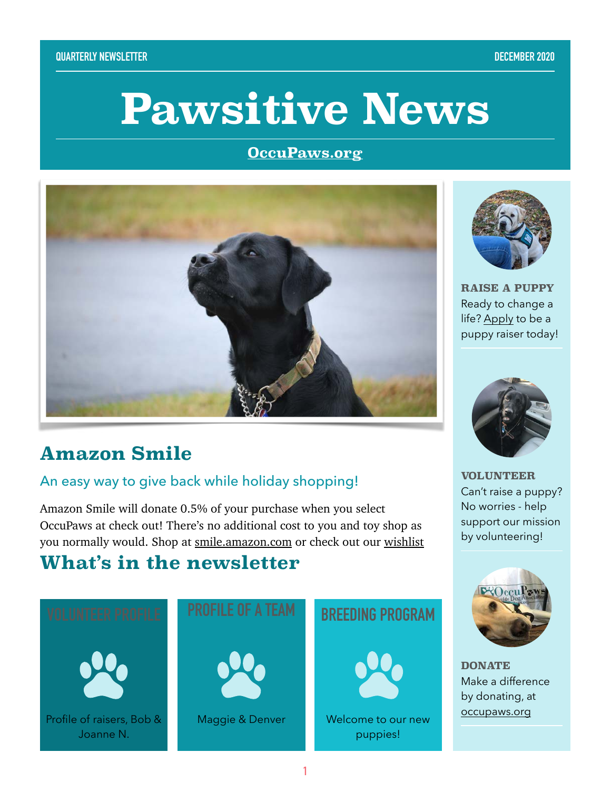# **Pawsitive News**

#### **[OccuPaws.org](http://OccuPaws.org)**



## **Amazon Smile**

#### An easy way to give back while holiday shopping!

Amazon Smile will donate 0.5% of your purchase when you select OccuPaws at check out! There's no additional cost to you and toy shop as you normally would. Shop at [smile.amazon.com](http://smile.amazon.com) or check out our [wishlist](http://smile.amazon.com/registry/giftlist/APXL1QSXN9Y6)

## **What's in the newsletter**





**RAISE A PUPPY** Ready to change a life? [Apply](https://occupaws.org/how-to-help/become-a-puppy-raiser/) to be a puppy raiser today!



**VOLUNTEER** Can't raise a puppy? No worries - help support our mission by volunteering!



**DONATE** Make a difference by donating, at [occupaws.org](https://occupaws.org/how-to-help/donate/)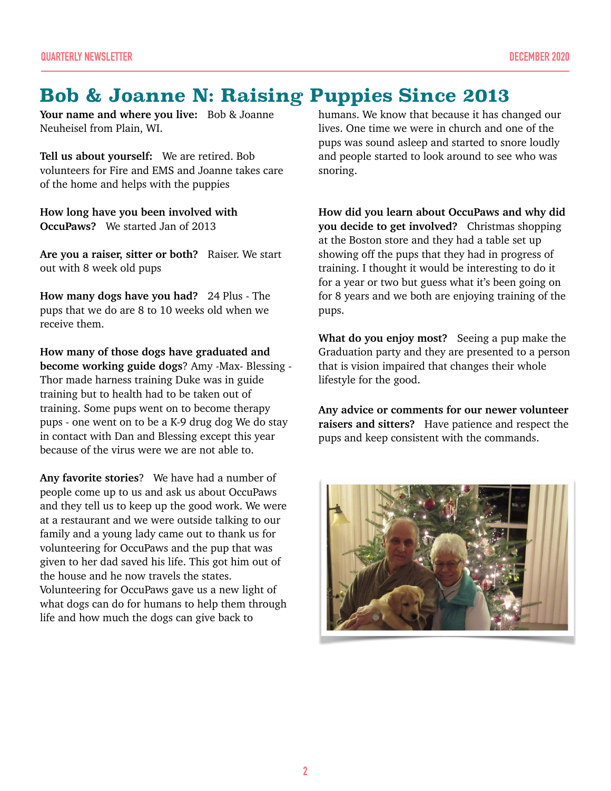### **Bob & Joanne N: Raising Puppies Since 2013**

**Your name and where you live:** Bob & Joanne Neuheisel from Plain, WI.

**Tell us about yourself:** We are retired. Bob volunteers for Fire and EMS and Joanne takes care of the home and helps with the puppies

**How long have you been involved with OccuPaws?** We started Jan of 2013

**Are you a raiser, sitter or both?** Raiser. We start out with 8 week old pups

**How many dogs have you had?** 24 Plus - The pups that we do are 8 to 10 weeks old when we receive them.

**How many of those dogs have graduated and become working guide dogs**? Amy -Max- Blessing - Thor made harness training Duke was in guide training but to health had to be taken out of training. Some pups went on to become therapy pups - one went on to be a K-9 drug dog We do stay in contact with Dan and Blessing except this year because of the virus were we are not able to.

**Any favorite stories**? We have had a number of people come up to us and ask us about OccuPaws and they tell us to keep up the good work. We were at a restaurant and we were outside talking to our family and a young lady came out to thank us for volunteering for OccuPaws and the pup that was given to her dad saved his life. This got him out of the house and he now travels the states. Volunteering for OccuPaws gave us a new light of what dogs can do for humans to help them through life and how much the dogs can give back to

humans. We know that because it has changed our lives. One time we were in church and one of the pups was sound asleep and started to snore loudly and people started to look around to see who was snoring.

**How did you learn about OccuPaws and why did you decide to get involved?** Christmas shopping at the Boston store and they had a table set up showing off the pups that they had in progress of training. I thought it would be interesting to do it for a year or two but guess what it's been going on for 8 years and we both are enjoying training of the pups.

**What do you enjoy most?** Seeing a pup make the Graduation party and they are presented to a person that is vision impaired that changes their whole lifestyle for the good.

**Any advice or comments for our newer volunteer raisers and sitters?** Have patience and respect the pups and keep consistent with the commands.

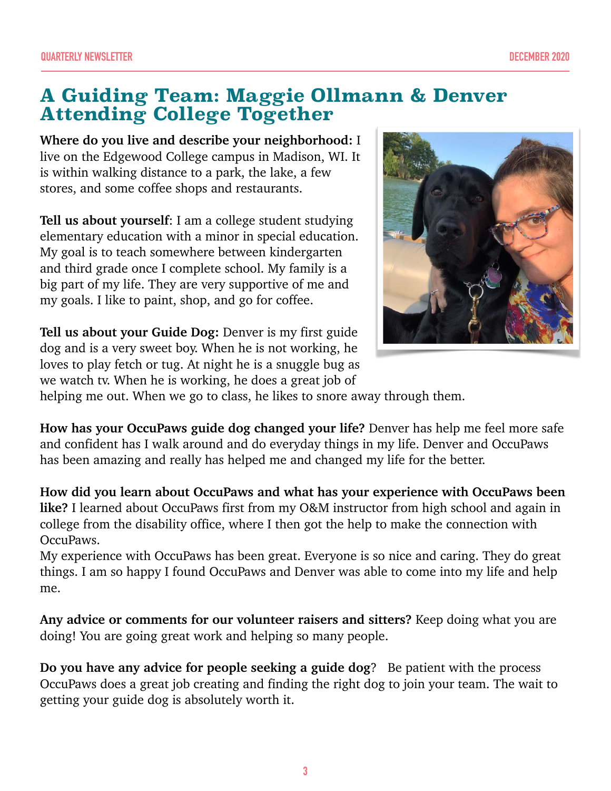### **A Guiding Team: Maggie Ollmann & Denver Attending College Together**

**Where do you live and describe your neighborhood:** I live on the Edgewood College campus in Madison, WI. It is within walking distance to a park, the lake, a few stores, and some coffee shops and restaurants.

**Tell us about yourself**: I am a college student studying elementary education with a minor in special education. My goal is to teach somewhere between kindergarten and third grade once I complete school. My family is a big part of my life. They are very supportive of me and my goals. I like to paint, shop, and go for coffee.

**Tell us about your Guide Dog:** Denver is my first guide dog and is a very sweet boy. When he is not working, he loves to play fetch or tug. At night he is a snuggle bug as we watch tv. When he is working, he does a great job of



helping me out. When we go to class, he likes to snore away through them.

**How has your OccuPaws guide dog changed your life?** Denver has help me feel more safe and confident has I walk around and do everyday things in my life. Denver and OccuPaws has been amazing and really has helped me and changed my life for the better.

**How did you learn about OccuPaws and what has your experience with OccuPaws been like?** I learned about OccuPaws first from my O&M instructor from high school and again in college from the disability office, where I then got the help to make the connection with OccuPaws.

My experience with OccuPaws has been great. Everyone is so nice and caring. They do great things. I am so happy I found OccuPaws and Denver was able to come into my life and help me.

**Any advice or comments for our volunteer raisers and sitters?** Keep doing what you are doing! You are going great work and helping so many people.

**Do you have any advice for people seeking a guide dog**? Be patient with the process OccuPaws does a great job creating and finding the right dog to join your team. The wait to getting your guide dog is absolutely worth it.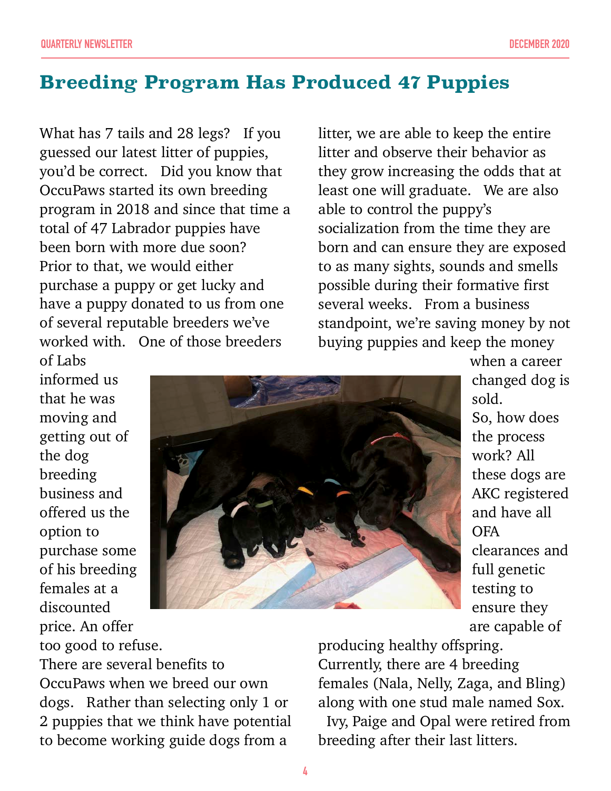## **Breeding Program Has Produced 47 Puppies**

What has 7 tails and 28 legs? If you guessed our latest litter of puppies, you'd be correct. Did you know that OccuPaws started its own breeding program in 2018 and since that time a total of 47 Labrador puppies have been born with more due soon? Prior to that, we would either purchase a puppy or get lucky and have a puppy donated to us from one of several reputable breeders we've worked with. One of those breeders

litter, we are able to keep the entire litter and observe their behavior as they grow increasing the odds that at least one will graduate. We are also able to control the puppy's socialization from the time they are born and can ensure they are exposed to as many sights, sounds and smells possible during their formative first several weeks. From a business standpoint, we're saving money by not buying puppies and keep the money

of Labs informed us that he was moving and getting out of the dog breeding business and offered us the option to purchase some of his breeding females at a discounted price. An offer too good to refuse.



when a career changed dog is sold. So, how does the process work? All these dogs are AKC registered and have all OFA clearances and full genetic testing to ensure they are capable of

There are several benefits to OccuPaws when we breed our own dogs. Rather than selecting only 1 or 2 puppies that we think have potential to become working guide dogs from a

producing healthy offspring. Currently, there are 4 breeding females (Nala, Nelly, Zaga, and Bling) along with one stud male named Sox.

Ivy, Paige and Opal were retired from breeding after their last litters.